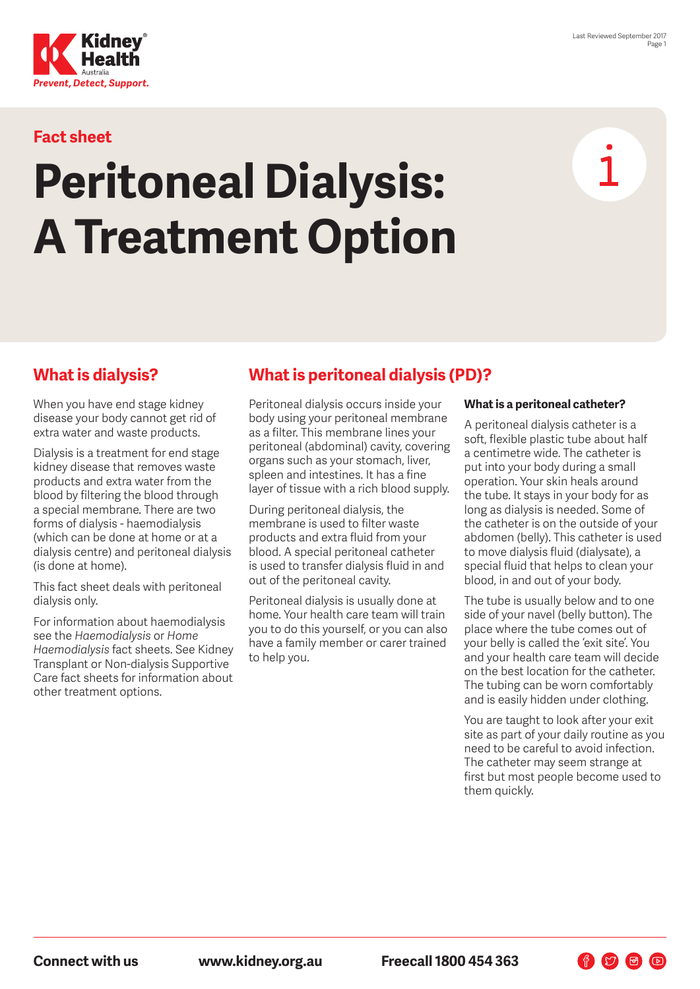

## **Fact sheet**

# **Peritoneal Dialysis: A Treatment Option**

## **What is dialysis?**

When you have end stage kidney disease your body cannot get rid of extra water and waste products.

Dialysis is a treatment for end stage kidney disease that removes waste products and extra water from the blood by filtering the blood through a special membrane. There are two forms of dialysis - haemodialysis (which can be done at home or at a dialysis centre) and peritoneal dialysis (is done at home).

This fact sheet deals with peritoneal dialysis only.

For information about haemodialysis see the *Haemodialysis* or *Home Haemodialysis* fact sheets. See Kidney Transplant or Non-dialysis Supportive Care fact sheets for information about other treatment options.

## **What is peritoneal dialysis (PD)?**

Peritoneal dialysis occurs inside your body using your peritoneal membrane as a filter. This membrane lines your peritoneal (abdominal) cavity, covering organs such as your stomach, liver, spleen and intestines. It has a fine layer of tissue with a rich blood supply.

During peritoneal dialysis, the membrane is used to filter waste products and extra fluid from your blood. A special peritoneal catheter is used to transfer dialysis fluid in and out of the peritoneal cavity.

Peritoneal dialysis is usually done at home. Your health care team will train you to do this yourself, or you can also have a family member or carer trained to help you.

#### **What is a peritoneal catheter?**

A peritoneal dialysis catheter is a soft, flexible plastic tube about half a centimetre wide. The catheter is put into your body during a small operation. Your skin heals around the tube. It stays in your body for as long as dialysis is needed. Some of the catheter is on the outside of your abdomen (belly). This catheter is used to move dialysis fluid (dialysate), a special fluid that helps to clean your blood, in and out of your body.

The tube is usually below and to one side of your navel (belly button). The place where the tube comes out of your belly is called the 'exit site'. You and your health care team will decide on the best location for the catheter. The tubing can be worn comfortably and is easily hidden under clothing.

You are taught to look after your exit site as part of your daily routine as you need to be careful to avoid infection. The catheter may seem strange at first but most people become used to them quickly.

 $\n **F**$   $\n **G**$   $\n **D**$ 

**Connect with us www.kidney.org.au Freecall 1800 454 363**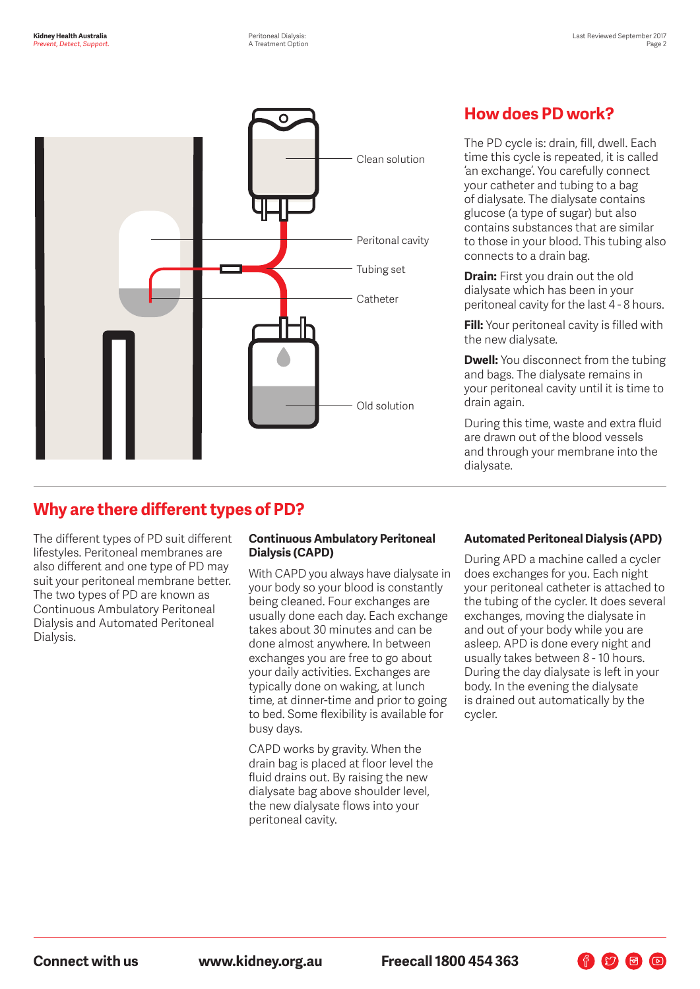

## **How does PD work?**

The PD cycle is: drain, fill, dwell. Each time this cycle is repeated, it is called 'an exchange'. You carefully connect your catheter and tubing to a bag of dialysate. The dialysate contains glucose (a type of sugar) but also contains substances that are similar to those in your blood. This tubing also connects to a drain bag.

**Drain:** First you drain out the old dialysate which has been in your peritoneal cavity for the last 4 - 8 hours.

**Fill:** Your peritoneal cavity is filled with the new dialysate.

**Dwell:** You disconnect from the tubing and bags. The dialysate remains in your peritoneal cavity until it is time to drain again.

During this time, waste and extra fluid are drawn out of the blood vessels and through your membrane into the dialysate.

## **Why are there different types of PD?**

The different types of PD suit different lifestyles. Peritoneal membranes are also different and one type of PD may suit your peritoneal membrane better. The two types of PD are known as Continuous Ambulatory Peritoneal Dialysis and Automated Peritoneal Dialysis.

#### **Continuous Ambulatory Peritoneal Dialysis (CAPD)**

With CAPD you always have dialysate in your body so your blood is constantly being cleaned. Four exchanges are usually done each day. Each exchange takes about 30 minutes and can be done almost anywhere. In between exchanges you are free to go about your daily activities. Exchanges are typically done on waking, at lunch time, at dinner-time and prior to going to bed. Some flexibility is available for busy days.

CAPD works by gravity. When the drain bag is placed at floor level the fluid drains out. By raising the new dialysate bag above shoulder level, the new dialysate flows into your peritoneal cavity.

#### **Automated Peritoneal Dialysis (APD)**

During APD a machine called a cycler does exchanges for you. Each night your peritoneal catheter is attached to the tubing of the cycler. It does several exchanges, moving the dialysate in and out of your body while you are asleep. APD is done every night and usually takes between 8 - 10 hours. During the day dialysate is left in your body. In the evening the dialysate is drained out automatically by the cycler.

F V F D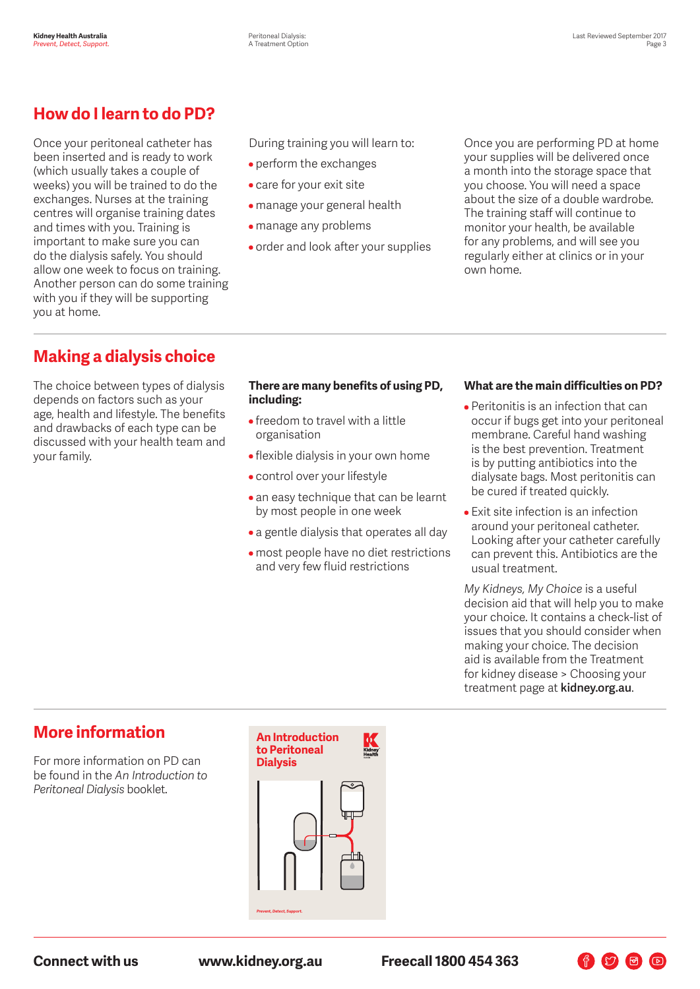## **How do I learn to do PD?**

Once your peritoneal catheter has been inserted and is ready to work (which usually takes a couple of weeks) you will be trained to do the exchanges. Nurses at the training centres will organise training dates and times with you. Training is important to make sure you can do the dialysis safely. You should allow one week to focus on training. Another person can do some training with you if they will be supporting you at home.

During training you will learn to:

- perform the exchanges
- care for your exit site
- manage your general health
- manage any problems
- order and look after your supplies

Once you are performing PD at home your supplies will be delivered once a month into the storage space that you choose. You will need a space about the size of a double wardrobe. The training staff will continue to monitor your health, be available for any problems, and will see you regularly either at clinics or in your own home.

## **Making a dialysis choice**

The choice between types of dialysis depends on factors such as your age, health and lifestyle. The benefits and drawbacks of each type can be discussed with your health team and your family.

#### **There are many benefits of using PD, including:**

- freedom to travel with a little organisation
- flexible dialysis in your own home
- control over your lifestyle
- an easy technique that can be learnt by most people in one week
- a gentle dialysis that operates all day
- most people have no diet restrictions and very few fluid restrictions

#### **What are the main difficulties on PD?**

- Peritonitis is an infection that can occur if bugs get into your peritoneal membrane. Careful hand washing is the best prevention. Treatment is by putting antibiotics into the dialysate bags. Most peritonitis can be cured if treated quickly.
- Exit site infection is an infection around your peritoneal catheter. Looking after your catheter carefully can prevent this. Antibiotics are the usual treatment.

*My Kidneys, My Choice* is a useful decision aid that will help you to make your choice. It contains a check-list of issues that you should consider when making your choice. The decision aid is available from the Treatment for kidney disease > Choosing your treatment page at **kidney.org.au**.

作り日日

## **More information**

For more information on PD can be found in the *An Introduction to Peritoneal Dialysis* booklet.